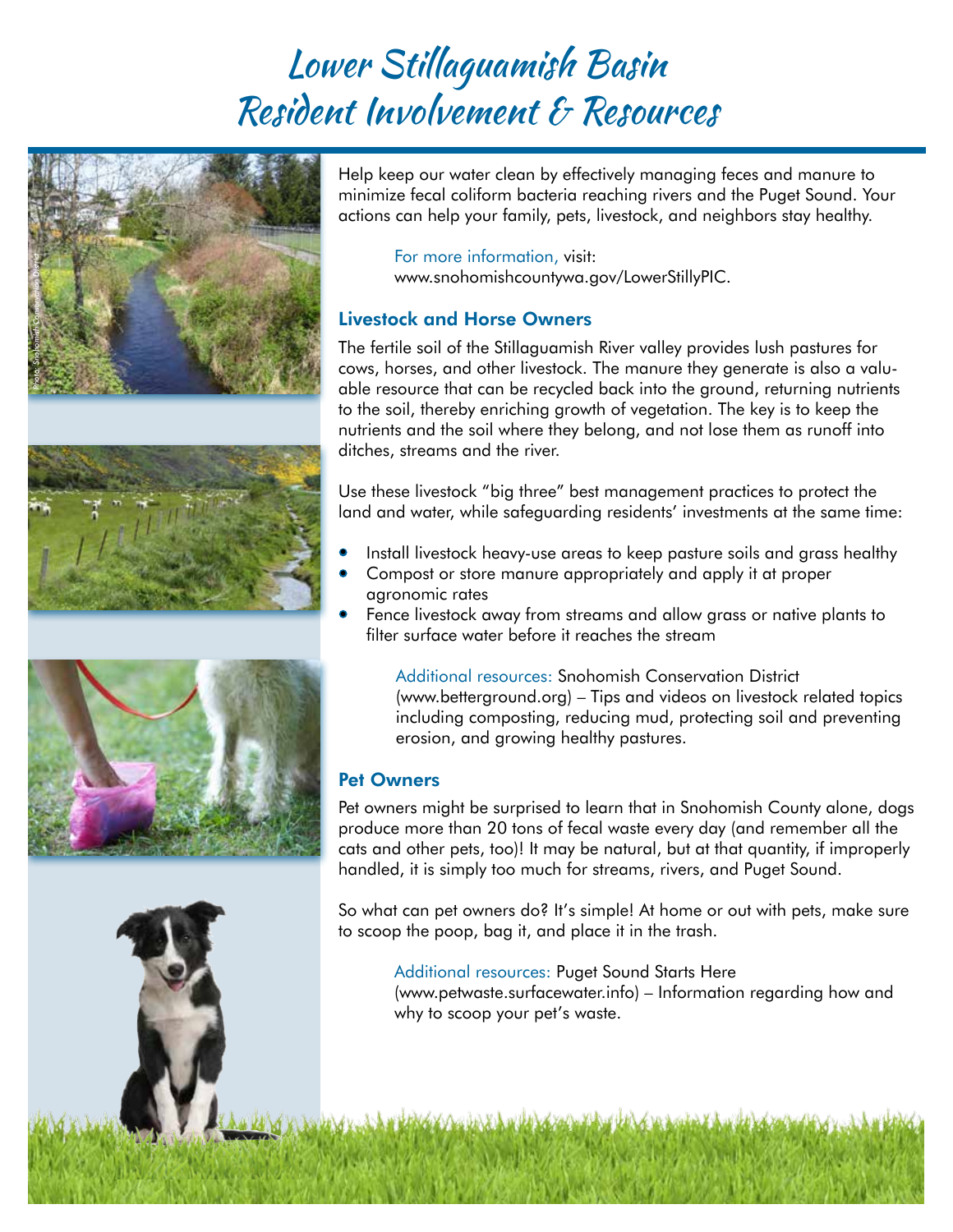# Lower Stillaguamish Basin Resident Involvement & Resources









Help keep our water clean by effectively managing feces and manure to minimize fecal coliform bacteria reaching rivers and the Puget Sound. Your actions can help your family, pets, livestock, and neighbors stay healthy.

For more information, visit: www.snohomishcountywa.gov/LowerStillyPIC.

## Livestock and Horse Owners

The fertile soil of the Stillaguamish River valley provides lush pastures for cows, horses, and other livestock. The manure they generate is also a valuable resource that can be recycled back into the ground, returning nutrients to the soil, thereby enriching growth of vegetation. The key is to keep the nutrients and the soil where they belong, and not lose them as runoff into ditches, streams and the river.

Use these livestock "big three" best management practices to protect the land and water, while safeguarding residents' investments at the same time:

- Install livestock heavy-use areas to keep pasture soils and grass healthy •
- Compost or store manure appropriately and apply it at proper agronomic rates
- Fence livestock away from streams and allow grass or native plants to filter surface water before it reaches the stream

Additional resources: Snohomish Conservation District (www.betterground.org) – Tips and videos on livestock related topics including composting, reducing mud, protecting soil and preventing erosion, and growing healthy pastures.

## Pet Owners

Pet owners might be surprised to learn that in Snohomish County alone, dogs produce more than 20 tons of fecal waste every day (and remember all the cats and other pets, too)! It may be natural, but at that quantity, if improperly handled, it is simply too much for streams, rivers, and Puget Sound.

So what can pet owners do? It's simple! At home or out with pets, make sure to scoop the poop, bag it, and place it in the trash.

Additional resources: Puget Sound Starts Here

(www.petwaste.surfacewater.info) – Information regarding how and why to scoop your pet's waste.